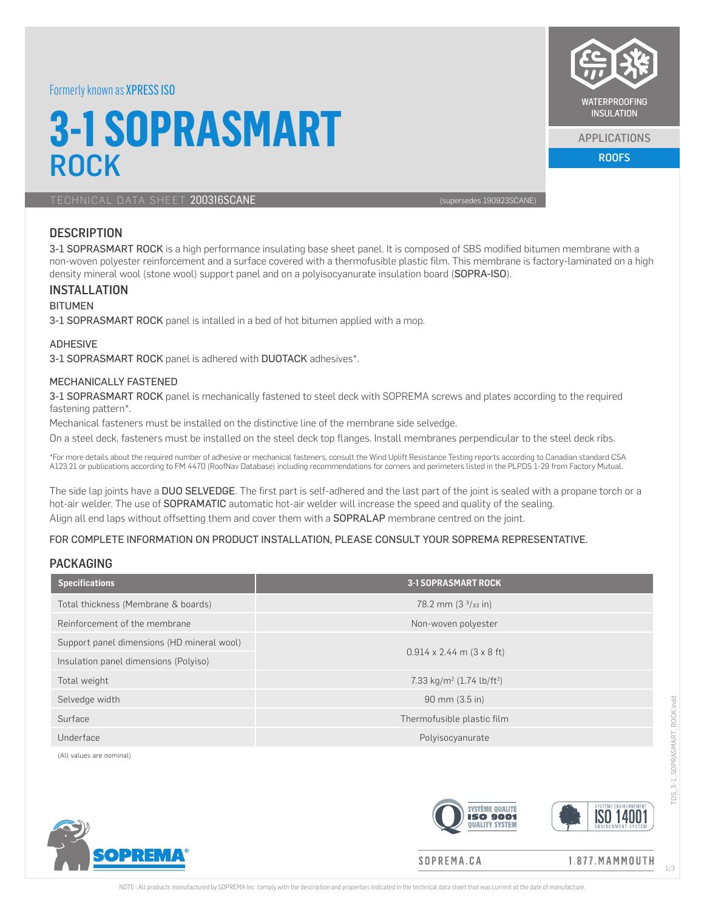### Formerly known as XPRESS ISO

# **3-1 SOPRASMART** ROCK

TECHNICAL DATA SHEET 200316SCANE (SUPERFORMERING 199923SCANE)

# **DESCRIPTION**

3-1 SOPRASMART ROCK is a high performance insulating base sheet panel. It is composed of SBS modified bitumen membrane with a non-woven polyester reinforcement and a surface covered with a thermofusible plastic film. This membrane is factory-laminated on a high density mineral wool (stone wool) support panel and on a polyisocyanurate insulation board (SOPRA-ISO).

#### INSTALLATION

#### BITUMEN

3-1 SOPRASMART ROCK panel is intalled in a bed of hot bitumen applied with a mop.

#### ADHESIVE

3-1 SOPRASMART ROCK panel is adhered with DUOTACK adhesives\*.

#### MECHANICALLY FASTENED

3-1 SOPRASMART ROCK panel is mechanically fastened to steel deck with SOPREMA screws and plates according to the required fastening pattern\*.

Mechanical fasteners must be installed on the distinctive line of the membrane side selvedge.

On a steel deck, fasteners must be installed on the steel deck top flanges. Install membranes perpendicular to the steel deck ribs.

\*For more details about the required number of adhesive or mechanical fasteners, consult the Wind Uplift Resistance Testing reports according to Canadian standard CSA A123.21 or publications according to FM 4470 (RoofNav Database) including recommendations for corners and perimeters listed in the PLPDS 1-29 from Factory Mutual.

The side lap joints have a DUO SELVEDGE. The first part is self-adhered and the last part of the joint is sealed with a propane torch or a hot-air welder. The use of SOPRAMATIC automatic hot-air welder will increase the speed and quality of the sealing. Align all end laps without offsetting them and cover them with a SOPRALAP membrane centred on the joint.

#### FOR COMPLETE INFORMATION ON PRODUCT INSTALLATION, PLEASE CONSULT YOUR SOPREMA REPRESENTATIVE.

### PACKAGING

| <b>Specifications</b>                      | <b>3-1 SOPRASMART ROCK</b>                        |
|--------------------------------------------|---------------------------------------------------|
| Total thickness (Membrane & boards)        | 78.2 mm $(33/32)$ in                              |
| Reinforcement of the membrane              | Non-woven polyester                               |
| Support panel dimensions (HD mineral wool) |                                                   |
| Insulation panel dimensions (Polyiso)      | $0.914 \times 2.44$ m $(3 \times 8$ ft)           |
| Total weight                               | 7.33 kg/m <sup>2</sup> (1.74 lb/ft <sup>2</sup> ) |
| Selvedge width                             | $90 \, \text{mm}$ (3.5 in)                        |
| Surface                                    | Thermofusible plastic film                        |
| Underface                                  | Polyisocyanurate                                  |
| (All values are nominal)                   |                                                   |



SOPREMA.CA

 $1.877. MAMMOLUTION$ 

## 1/3

WATERPROOFING **INSULATION** 

> ROOFS APPLICATIONS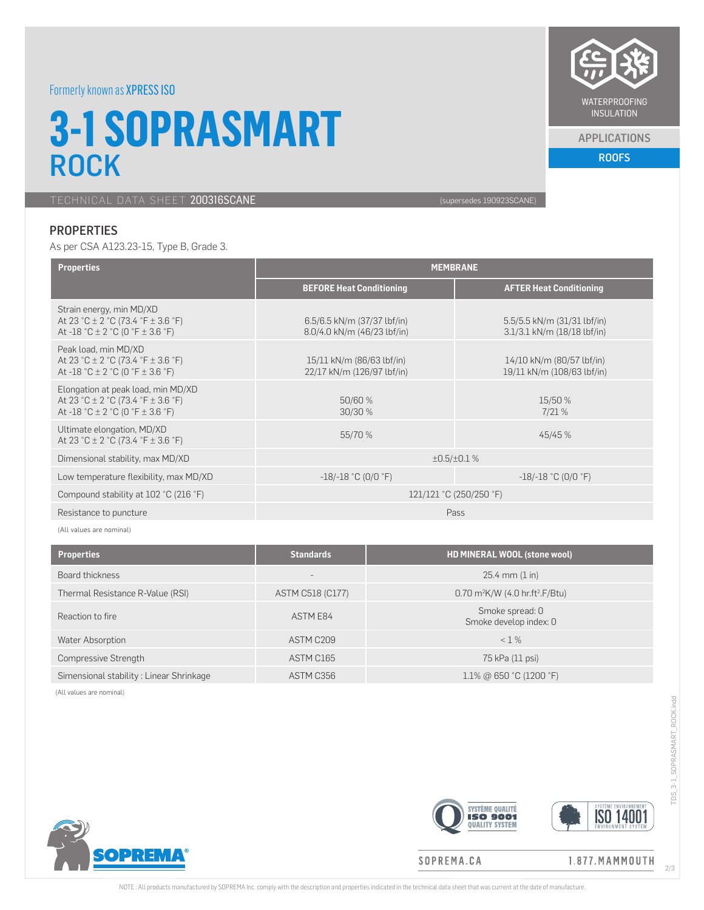# Formerly known as XPRESS ISO

# **3-1 SOPRASMART ROCK**

TECHNICAL DATA SHEET 200316SCANE (supersedes 190923SCANE)

# **PROPERTIES**

As per CSA A123.23-15, Type B, Grade 3.

APPLICATIONS

ROOFS

| <b>Properties</b>                                                                                                            | <b>MEMBRANE</b>                                            |                                                                |  |
|------------------------------------------------------------------------------------------------------------------------------|------------------------------------------------------------|----------------------------------------------------------------|--|
|                                                                                                                              | <b>BEFORE Heat Conditioning</b>                            | <b>AFTER Heat Conditioning</b>                                 |  |
| Strain energy, min MD/XD<br>At 23 °C $\pm$ 2 °C (73.4 °F $\pm$ 3.6 °F)<br>At -18 °C $\pm$ 2 °C (0 °F $\pm$ 3.6 °F)           | 6.5/6.5 kN/m (37/37 lbf/in)<br>8.0/4.0 kN/m (46/23 lbf/in) | 5.5/5.5 kN/m (31/31 lbf/in)<br>$3.1/3.1$ kN/m $(18/18$ lbf/in) |  |
| Peak load, min MD/XD<br>At 23 °C ± 2 °C (73.4 °F ± 3.6 °F)<br>At -18 °C $\pm$ 2 °C (0 °F $\pm$ 3.6 °F)                       | 15/11 kN/m (86/63 lbf/in)<br>22/17 kN/m (126/97 lbf/in)    | 14/10 kN/m (80/57 lbf/in)<br>19/11 kN/m (108/63 lbf/in)        |  |
| Elongation at peak load, min MD/XD<br>At 23 °C $\pm$ 2 °C (73.4 °F $\pm$ 3.6 °F)<br>At -18 °C $\pm$ 2 °C (0 °F $\pm$ 3.6 °F) | 50/60 %<br>30/30 %                                         | 15/50 %<br>7/21%                                               |  |
| Ultimate elongation, MD/XD<br>At 23 °C $\pm$ 2 °C (73.4 °F $\pm$ 3.6 °F)                                                     | 55/70 %                                                    | 45/45 %                                                        |  |
| Dimensional stability, max MD/XD                                                                                             | $\pm 0.5 / \pm 0.1$ %                                      |                                                                |  |
| Low temperature flexibility, max MD/XD                                                                                       | $-18/-18$ °C (0/0 °F)                                      | $-18/-18$ °C (0/0 °F)                                          |  |
| Compound stability at 102 °C (216 °F)                                                                                        | 121/121 °C (250/250 °F)                                    |                                                                |  |
| Resistance to puncture                                                                                                       | Pass                                                       |                                                                |  |

(All values are nominal)

| <b>Properties</b>                       | <b>Standards</b>  | HD MINERAL WOOL (stone wool)                              |
|-----------------------------------------|-------------------|-----------------------------------------------------------|
| Board thickness                         | $\qquad \qquad -$ | $25.4$ mm $(1 \text{ in})$                                |
| Thermal Resistance R-Value (RSI)        | ASTM C518 (C177)  | $0.70$ m <sup>2</sup> K/W (4.0 hr.ft <sup>2</sup> .F/Btu) |
| Reaction to fire                        | ASTM E84          | Smoke spread: 0<br>Smoke develop index: 0                 |
| Water Absorption                        | ASTM C209         | $< 1\%$                                                   |
| Compressive Strength                    | ASTM C165         | 75 kPa (11 psi)                                           |
| Simensional stability: Linear Shrinkage | ASTM C356         | $1.1\%$ @ 650 °C (1200 °F)                                |

(All values are nominal)





TDS\_3-1\_SOPRASMART\_ROCK.indd

TDS\_3-1\_SOPRASMART\_ROCK.indd